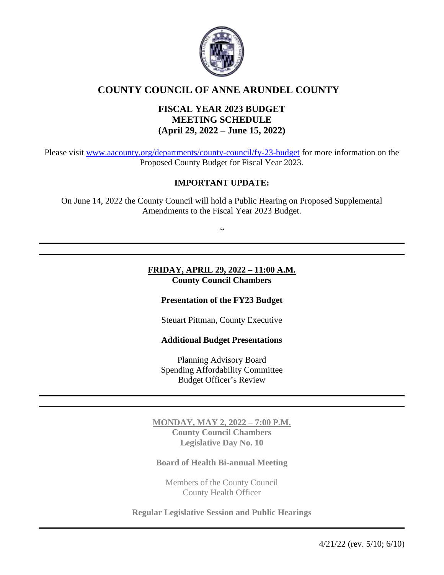

# **COUNTY COUNCIL OF ANNE ARUNDEL COUNTY**

# **FISCAL YEAR 2023 BUDGET MEETING SCHEDULE (April 29, 2022 – June 15, 2022)**

Please visit [www.aacounty.org/departments/county-council/fy-23-budget](http://www.aacounty.org/departments/county-council/fy-23-budget) for more information on the Proposed County Budget for Fiscal Year 2023.

# **IMPORTANT UPDATE:**

On June 14, 2022 the County Council will hold a Public Hearing on Proposed Supplemental Amendments to the Fiscal Year 2023 Budget.

**~**

**FRIDAY, APRIL 29, 2022 – 11:00 A.M. County Council Chambers**

**Presentation of the FY23 Budget**

Steuart Pittman, County Executive

#### **Additional Budget Presentations**

Planning Advisory Board Spending Affordability Committee Budget Officer's Review

**MONDAY, MAY 2, 2022 – 7:00 P.M. County Council Chambers Legislative Day No. 10**

**Board of Health Bi-annual Meeting**

Members of the County Council County Health Officer

**Regular Legislative Session and Public Hearings**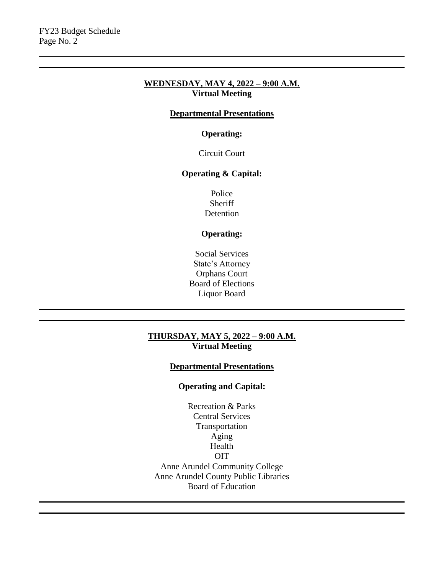#### **WEDNESDAY, MAY 4, 2022 – 9:00 A.M. Virtual Meeting**

## **Departmental Presentations**

## **Operating:**

Circuit Court

# **Operating & Capital:**

Police **Sheriff** Detention

# **Operating:**

Social Services State's Attorney Orphans Court Board of Elections Liquor Board

#### **THURSDAY, MAY 5, 2022 – 9:00 A.M. Virtual Meeting**

# **Departmental Presentations**

## **Operating and Capital:**

Recreation & Parks Central Services Transportation Aging Health OIT Anne Arundel Community College Anne Arundel County Public Libraries Board of Education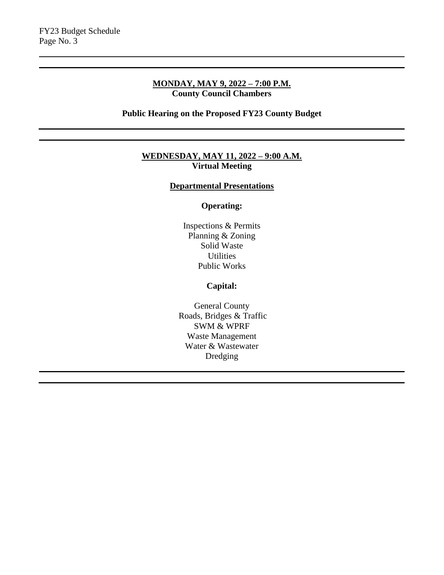## **MONDAY, MAY 9, 2022 – 7:00 P.M. County Council Chambers**

**Public Hearing on the Proposed FY23 County Budget**

#### **WEDNESDAY, MAY 11, 2022 – 9:00 A.M. Virtual Meeting**

## **Departmental Presentations**

## **Operating:**

Inspections & Permits Planning & Zoning Solid Waste **Utilities** Public Works

## **Capital:**

General County Roads, Bridges & Traffic SWM & WPRF Waste Management Water & Wastewater Dredging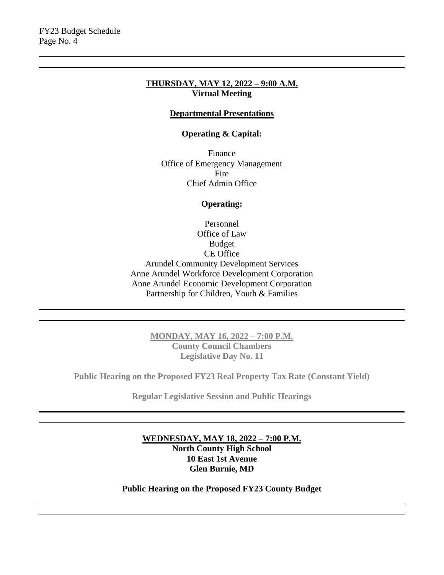#### **THURSDAY, MAY 12, 2022 – 9:00 A.M. Virtual Meeting**

## **Departmental Presentations**

#### **Operating & Capital:**

Finance Office of Emergency Management Fire Chief Admin Office

#### **Operating:**

Personnel Office of Law Budget CE Office Arundel Community Development Services Anne Arundel Workforce Development Corporation Anne Arundel Economic Development Corporation Partnership for Children, Youth & Families

> **MONDAY, MAY 16, 2022 – 7:00 P.M. County Council Chambers Legislative Day No. 11**

**Public Hearing on the Proposed FY23 Real Property Tax Rate (Constant Yield)**

**Regular Legislative Session and Public Hearings**

**WEDNESDAY, MAY 18, 2022 – 7:00 P.M. North County High School 10 East 1st Avenue Glen Burnie, MD** 

**Public Hearing on the Proposed FY23 County Budget**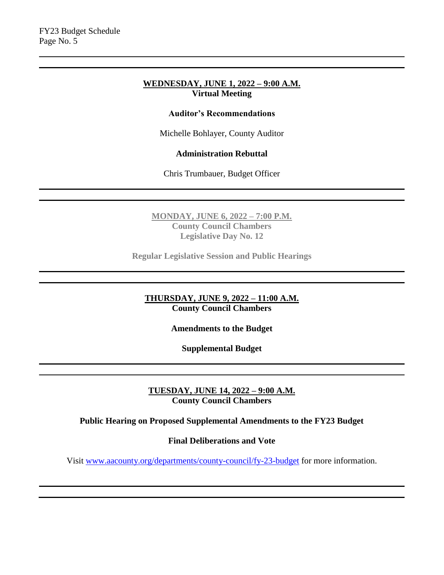#### **WEDNESDAY, JUNE 1, 2022 – 9:00 A.M. Virtual Meeting**

## **Auditor's Recommendations**

Michelle Bohlayer, County Auditor

#### **Administration Rebuttal**

Chris Trumbauer, Budget Officer

**MONDAY, JUNE 6, 2022 – 7:00 P.M. County Council Chambers Legislative Day No. 12**

**Regular Legislative Session and Public Hearings**

**THURSDAY, JUNE 9, 2022 – 11:00 A.M. County Council Chambers**

**Amendments to the Budget** 

**Supplemental Budget**

**TUESDAY, JUNE 14, 2022 – 9:00 A.M. County Council Chambers**

**Public Hearing on Proposed Supplemental Amendments to the FY23 Budget**

**Final Deliberations and Vote**

Visit [www.aacounty.org/departments/county-council/fy-23-budget](http://www.aacounty.org/departments/county-council/fy-23-budget) for more information.